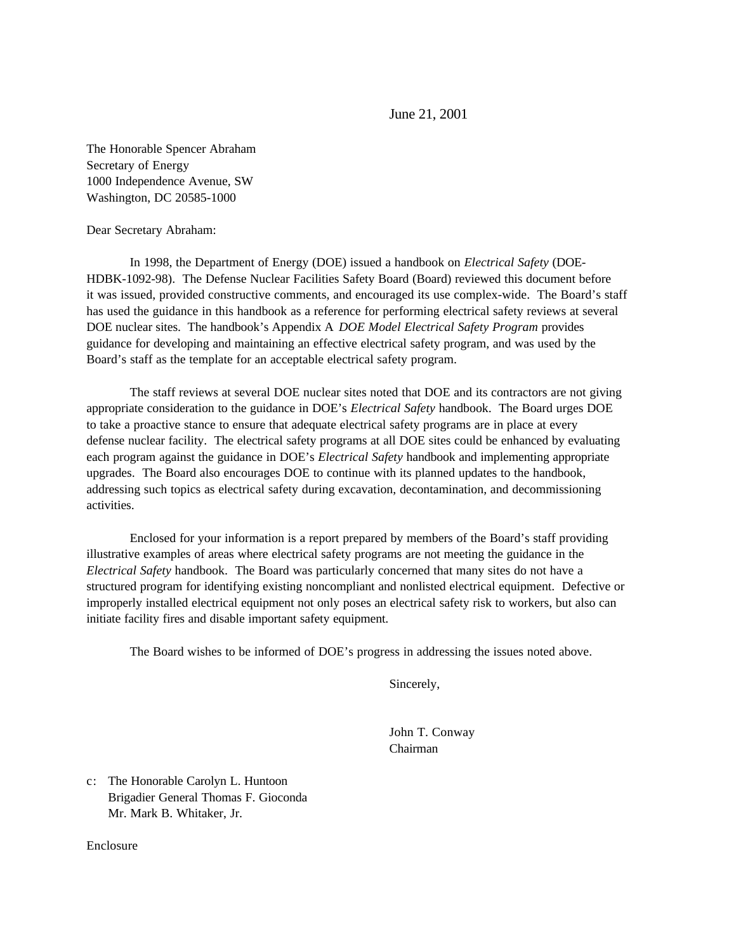June 21, 2001

The Honorable Spencer Abraham Secretary of Energy 1000 Independence Avenue, SW Washington, DC 20585-1000

Dear Secretary Abraham:

In 1998, the Department of Energy (DOE) issued a handbook on *Electrical Safety* (DOE-HDBK-1092-98). The Defense Nuclear Facilities Safety Board (Board) reviewed this document before it was issued, provided constructive comments, and encouraged its use complex-wide. The Board's staff has used the guidance in this handbook as a reference for performing electrical safety reviews at several DOE nuclear sites. The handbook's Appendix A *DOE Model Electrical Safety Program* provides guidance for developing and maintaining an effective electrical safety program, and was used by the Board's staff as the template for an acceptable electrical safety program.

The staff reviews at several DOE nuclear sites noted that DOE and its contractors are not giving appropriate consideration to the guidance in DOE's *Electrical Safety* handbook. The Board urges DOE to take a proactive stance to ensure that adequate electrical safety programs are in place at every defense nuclear facility. The electrical safety programs at all DOE sites could be enhanced by evaluating each program against the guidance in DOE's *Electrical Safety* handbook and implementing appropriate upgrades. The Board also encourages DOE to continue with its planned updates to the handbook, addressing such topics as electrical safety during excavation, decontamination, and decommissioning activities.

Enclosed for your information is a report prepared by members of the Board's staff providing illustrative examples of areas where electrical safety programs are not meeting the guidance in the *Electrical Safety* handbook. The Board was particularly concerned that many sites do not have a structured program for identifying existing noncompliant and nonlisted electrical equipment. Defective or improperly installed electrical equipment not only poses an electrical safety risk to workers, but also can initiate facility fires and disable important safety equipment.

The Board wishes to be informed of DOE's progress in addressing the issues noted above.

Sincerely,

John T. Conway Chairman

c: The Honorable Carolyn L. Huntoon Brigadier General Thomas F. Gioconda Mr. Mark B. Whitaker, Jr.

Enclosure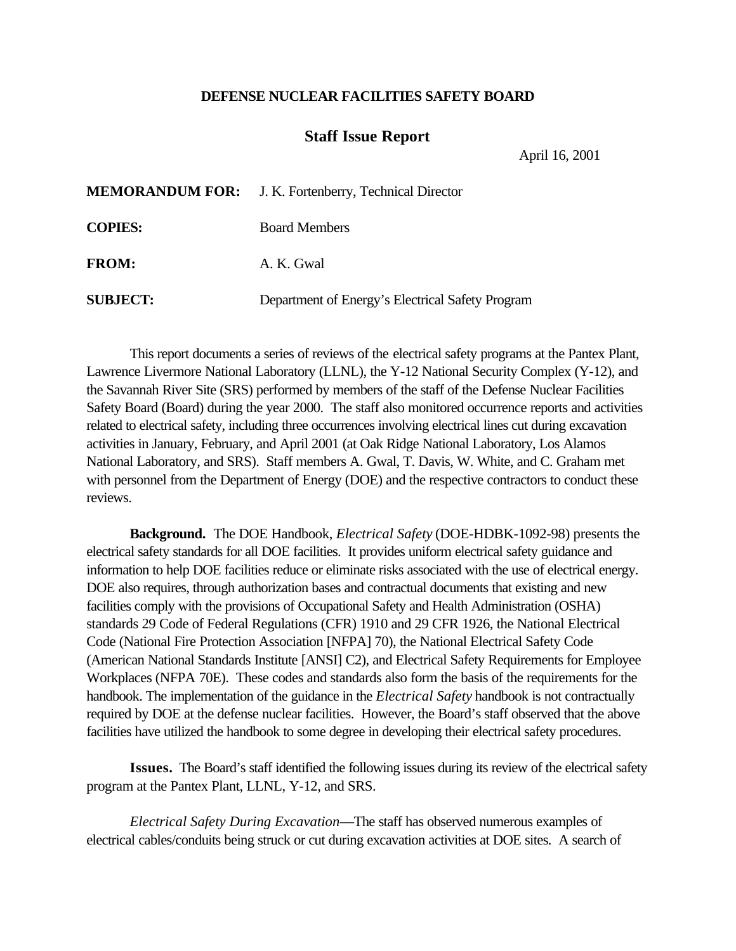## **DEFENSE NUCLEAR FACILITIES SAFETY BOARD**

## **Staff Issue Report**

April 16, 2001

|                 | <b>MEMORANDUM FOR:</b> J. K. Fortenberry, Technical Director |
|-----------------|--------------------------------------------------------------|
| <b>COPIES:</b>  | <b>Board Members</b>                                         |
| <b>FROM:</b>    | A. K. Gwal                                                   |
| <b>SUBJECT:</b> | Department of Energy's Electrical Safety Program             |

This report documents a series of reviews of the electrical safety programs at the Pantex Plant, Lawrence Livermore National Laboratory (LLNL), the Y-12 National Security Complex (Y-12), and the Savannah River Site (SRS) performed by members of the staff of the Defense Nuclear Facilities Safety Board (Board) during the year 2000. The staff also monitored occurrence reports and activities related to electrical safety, including three occurrences involving electrical lines cut during excavation activities in January, February, and April 2001 (at Oak Ridge National Laboratory, Los Alamos National Laboratory, and SRS). Staff members A. Gwal, T. Davis, W. White, and C. Graham met with personnel from the Department of Energy (DOE) and the respective contractors to conduct these reviews.

**Background.** The DOE Handbook, *Electrical Safety* (DOE-HDBK-1092-98) presents the electrical safety standards for all DOE facilities. It provides uniform electrical safety guidance and information to help DOE facilities reduce or eliminate risks associated with the use of electrical energy. DOE also requires, through authorization bases and contractual documents that existing and new facilities comply with the provisions of Occupational Safety and Health Administration (OSHA) standards 29 Code of Federal Regulations (CFR) 1910 and 29 CFR 1926, the National Electrical Code (National Fire Protection Association [NFPA] 70), the National Electrical Safety Code (American National Standards Institute [ANSI] C2), and Electrical Safety Requirements for Employee Workplaces (NFPA 70E). These codes and standards also form the basis of the requirements for the handbook. The implementation of the guidance in the *Electrical Safety* handbook is not contractually required by DOE at the defense nuclear facilities. However, the Board's staff observed that the above facilities have utilized the handbook to some degree in developing their electrical safety procedures.

**Issues.** The Board's staff identified the following issues during its review of the electrical safety program at the Pantex Plant, LLNL, Y-12, and SRS.

*Electrical Safety During Excavation*—The staff has observed numerous examples of electrical cables/conduits being struck or cut during excavation activities at DOE sites. A search of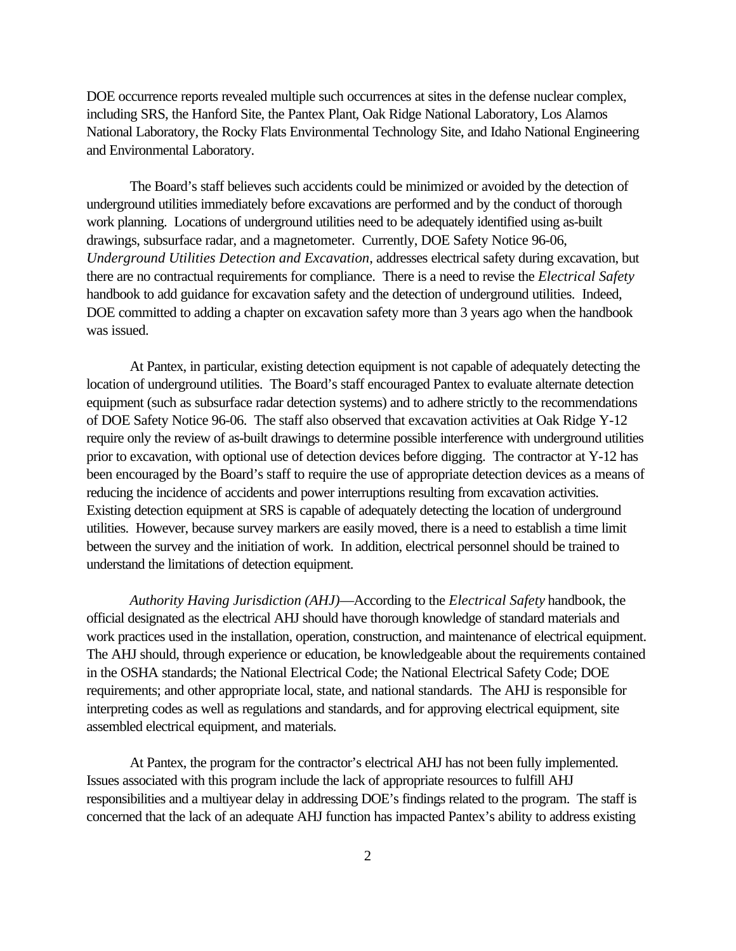DOE occurrence reports revealed multiple such occurrences at sites in the defense nuclear complex, including SRS, the Hanford Site, the Pantex Plant, Oak Ridge National Laboratory, Los Alamos National Laboratory, the Rocky Flats Environmental Technology Site, and Idaho National Engineering and Environmental Laboratory.

The Board's staff believes such accidents could be minimized or avoided by the detection of underground utilities immediately before excavations are performed and by the conduct of thorough work planning. Locations of underground utilities need to be adequately identified using as-built drawings, subsurface radar, and a magnetometer. Currently, DOE Safety Notice 96-06, *Underground Utilities Detection and Excavation*, addresses electrical safety during excavation, but there are no contractual requirements for compliance. There is a need to revise the *Electrical Safety* handbook to add guidance for excavation safety and the detection of underground utilities. Indeed, DOE committed to adding a chapter on excavation safety more than 3 years ago when the handbook was issued.

At Pantex, in particular, existing detection equipment is not capable of adequately detecting the location of underground utilities. The Board's staff encouraged Pantex to evaluate alternate detection equipment (such as subsurface radar detection systems) and to adhere strictly to the recommendations of DOE Safety Notice 96-06. The staff also observed that excavation activities at Oak Ridge Y-12 require only the review of as-built drawings to determine possible interference with underground utilities prior to excavation, with optional use of detection devices before digging. The contractor at Y-12 has been encouraged by the Board's staff to require the use of appropriate detection devices as a means of reducing the incidence of accidents and power interruptions resulting from excavation activities. Existing detection equipment at SRS is capable of adequately detecting the location of underground utilities. However, because survey markers are easily moved, there is a need to establish a time limit between the survey and the initiation of work. In addition, electrical personnel should be trained to understand the limitations of detection equipment.

*Authority Having Jurisdiction (AHJ)*—According to the *Electrical Safety* handbook, the official designated as the electrical AHJ should have thorough knowledge of standard materials and work practices used in the installation, operation, construction, and maintenance of electrical equipment. The AHJ should, through experience or education, be knowledgeable about the requirements contained in the OSHA standards; the National Electrical Code; the National Electrical Safety Code; DOE requirements; and other appropriate local, state, and national standards. The AHJ is responsible for interpreting codes as well as regulations and standards, and for approving electrical equipment, site assembled electrical equipment, and materials.

At Pantex, the program for the contractor's electrical AHJ has not been fully implemented. Issues associated with this program include the lack of appropriate resources to fulfill AHJ responsibilities and a multiyear delay in addressing DOE's findings related to the program. The staff is concerned that the lack of an adequate AHJ function has impacted Pantex's ability to address existing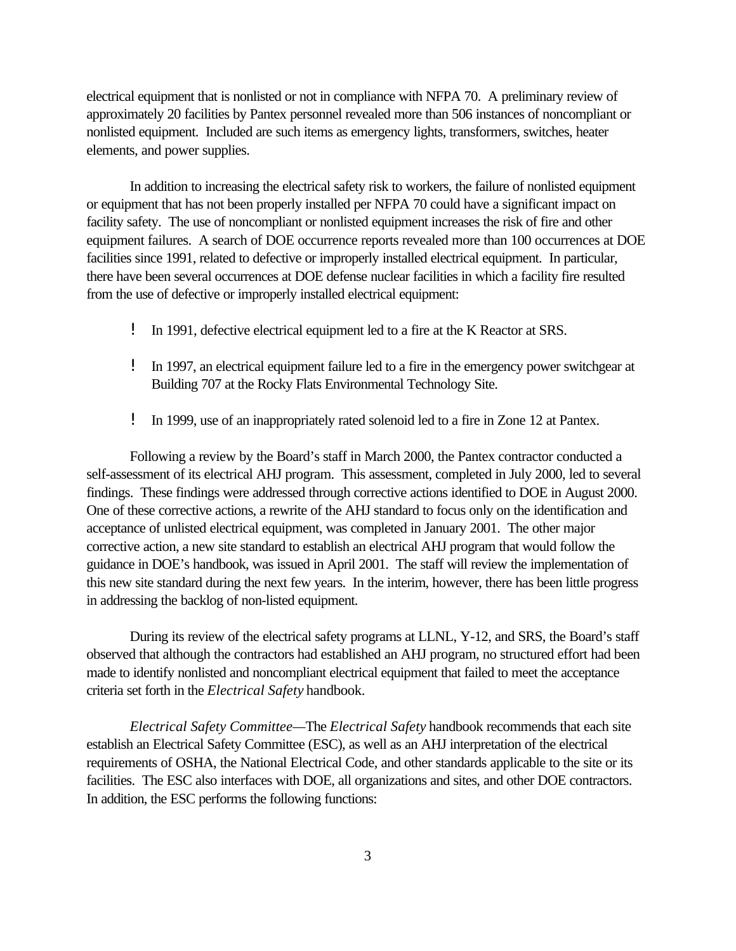electrical equipment that is nonlisted or not in compliance with NFPA 70. A preliminary review of approximately 20 facilities by Pantex personnel revealed more than 506 instances of noncompliant or nonlisted equipment. Included are such items as emergency lights, transformers, switches, heater elements, and power supplies.

In addition to increasing the electrical safety risk to workers, the failure of nonlisted equipment or equipment that has not been properly installed per NFPA 70 could have a significant impact on facility safety. The use of noncompliant or nonlisted equipment increases the risk of fire and other equipment failures. A search of DOE occurrence reports revealed more than 100 occurrences at DOE facilities since 1991, related to defective or improperly installed electrical equipment. In particular, there have been several occurrences at DOE defense nuclear facilities in which a facility fire resulted from the use of defective or improperly installed electrical equipment:

- ! In 1991, defective electrical equipment led to a fire at the K Reactor at SRS.
- ! In 1997, an electrical equipment failure led to a fire in the emergency power switchgear at Building 707 at the Rocky Flats Environmental Technology Site.
- ! In 1999, use of an inappropriately rated solenoid led to a fire in Zone 12 at Pantex.

Following a review by the Board's staff in March 2000, the Pantex contractor conducted a self-assessment of its electrical AHJ program. This assessment, completed in July 2000, led to several findings. These findings were addressed through corrective actions identified to DOE in August 2000. One of these corrective actions, a rewrite of the AHJ standard to focus only on the identification and acceptance of unlisted electrical equipment, was completed in January 2001. The other major corrective action, a new site standard to establish an electrical AHJ program that would follow the guidance in DOE's handbook, was issued in April 2001. The staff will review the implementation of this new site standard during the next few years. In the interim, however, there has been little progress in addressing the backlog of non-listed equipment.

During its review of the electrical safety programs at LLNL, Y-12, and SRS, the Board's staff observed that although the contractors had established an AHJ program, no structured effort had been made to identify nonlisted and noncompliant electrical equipment that failed to meet the acceptance criteria set forth in the *Electrical Safety* handbook.

*Electrical Safety Committee—*The *Electrical Safety* handbook recommends that each site establish an Electrical Safety Committee (ESC), as well as an AHJ interpretation of the electrical requirements of OSHA, the National Electrical Code, and other standards applicable to the site or its facilities. The ESC also interfaces with DOE, all organizations and sites, and other DOE contractors. In addition, the ESC performs the following functions: